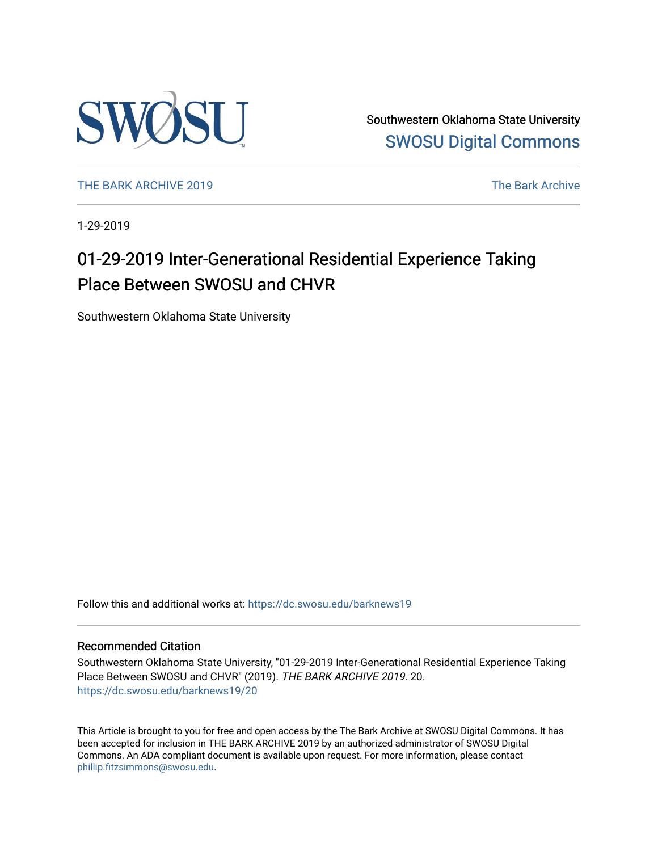

Southwestern Oklahoma State University [SWOSU Digital Commons](https://dc.swosu.edu/) 

[THE BARK ARCHIVE 2019](https://dc.swosu.edu/barknews19) The Bark Archive

1-29-2019

# 01-29-2019 Inter-Generational Residential Experience Taking Place Between SWOSU and CHVR

Southwestern Oklahoma State University

Follow this and additional works at: [https://dc.swosu.edu/barknews19](https://dc.swosu.edu/barknews19?utm_source=dc.swosu.edu%2Fbarknews19%2F20&utm_medium=PDF&utm_campaign=PDFCoverPages)

### Recommended Citation

Southwestern Oklahoma State University, "01-29-2019 Inter-Generational Residential Experience Taking Place Between SWOSU and CHVR" (2019). THE BARK ARCHIVE 2019. 20. [https://dc.swosu.edu/barknews19/20](https://dc.swosu.edu/barknews19/20?utm_source=dc.swosu.edu%2Fbarknews19%2F20&utm_medium=PDF&utm_campaign=PDFCoverPages) 

This Article is brought to you for free and open access by the The Bark Archive at SWOSU Digital Commons. It has been accepted for inclusion in THE BARK ARCHIVE 2019 by an authorized administrator of SWOSU Digital Commons. An ADA compliant document is available upon request. For more information, please contact [phillip.fitzsimmons@swosu.edu](mailto:phillip.fitzsimmons@swosu.edu).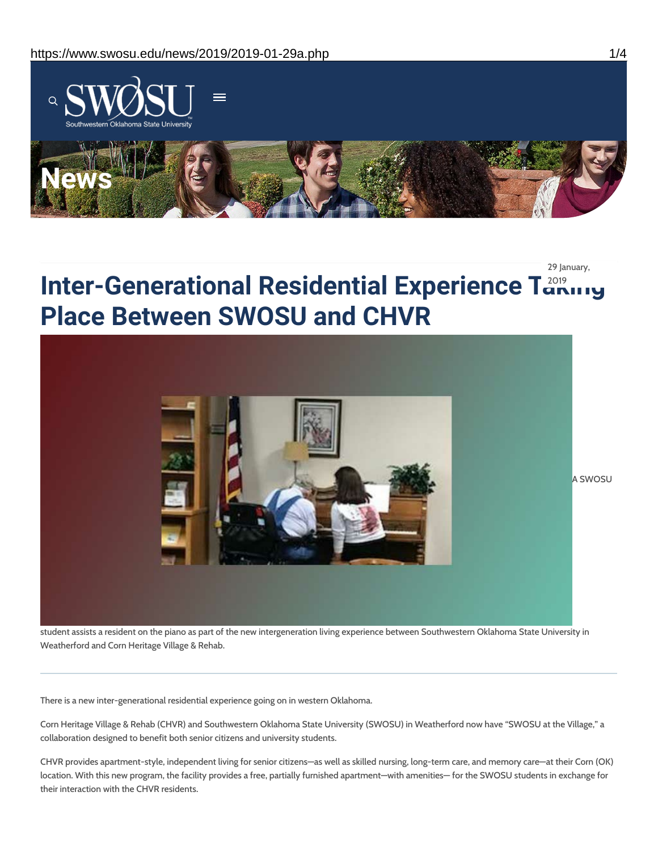

**Inter-Generational Residential Experience Taking Place Between SWOSU and CHVR**



student assists a resident on the piano as part of the new intergeneration living experience between Southwestern Oklahoma State University in Weatherford and Corn Heritage Village & Rehab.

There is a new inter-generational residential experience going on in western Oklahoma.

Corn Heritage Village & Rehab (CHVR) and Southwestern Oklahoma State University (SWOSU) in Weatherford now have "SWOSU at the Village," a collaboration designed to benefit both senior citizens and university students.

CHVR provides apartment-style, independent living for senior citizens—as well as skilled nursing, long-term care, and memory care—at their Corn (OK) location. With this new program, the facility provides a free, partially furnished apartment—with amenities— for the SWOSU students in exchange for their interaction with the CHVR residents.

29 January,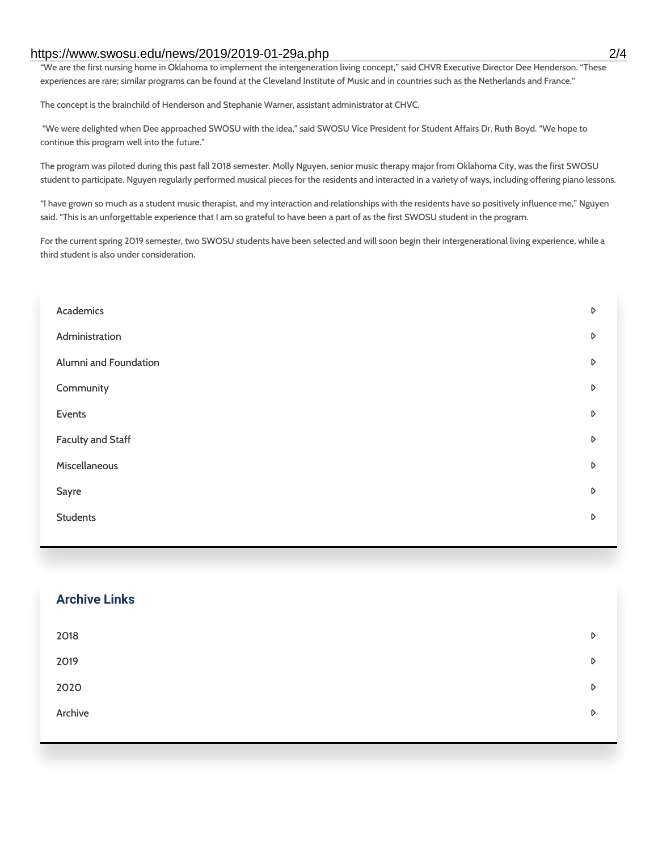### https://www.swosu.edu/news/2019/2019-01-29a.php 2/4

"We are the first nursing home in Oklahoma to implement the intergeneration living concept," said CHVR Executive Director Dee Henderson. "These experiences are rare; similar programs can be found at the Cleveland Institute of Music and in countries such as the Netherlands and France."

The concept is the brainchild of Henderson and Stephanie Warner, assistant administrator at CHVC.

"We were delighted when Dee approached SWOSU with the idea," said SWOSU Vice President for Student Affairs Dr. Ruth Boyd. "We hope to continue this program well into the future."

The program was piloted during this past fall 2018 semester. Molly Nguyen, senior music therapy major from Oklahoma City, was the first SWOSU student to participate. Nguyen regularly performed musical pieces for the residents and interacted in a variety of ways, including offering piano lessons.

"I have grown so much as a student music therapist, and my interaction and relationships with the residents have so positively influence me," Nguyen said. "This is an unforgettable experience that I am so grateful to have been a part of as the first SWOSU student in the program.

For the current spring 2019 semester, two SWOSU students have been selected and will soon begin their intergenerational living experience, while a third student is also under consideration.

| Academics                | D |
|--------------------------|---|
| Administration           | D |
| Alumni and Foundation    | D |
| Community                | D |
| Events                   | D |
| <b>Faculty and Staff</b> | D |
| Miscellaneous            | D |
| Sayre                    | D |
| <b>Students</b>          | D |
|                          |   |

| <b>Archive Links</b> |   |
|----------------------|---|
| 2018                 | D |
| 2019                 | D |
| 2020                 | D |
| Archive              | D |
|                      |   |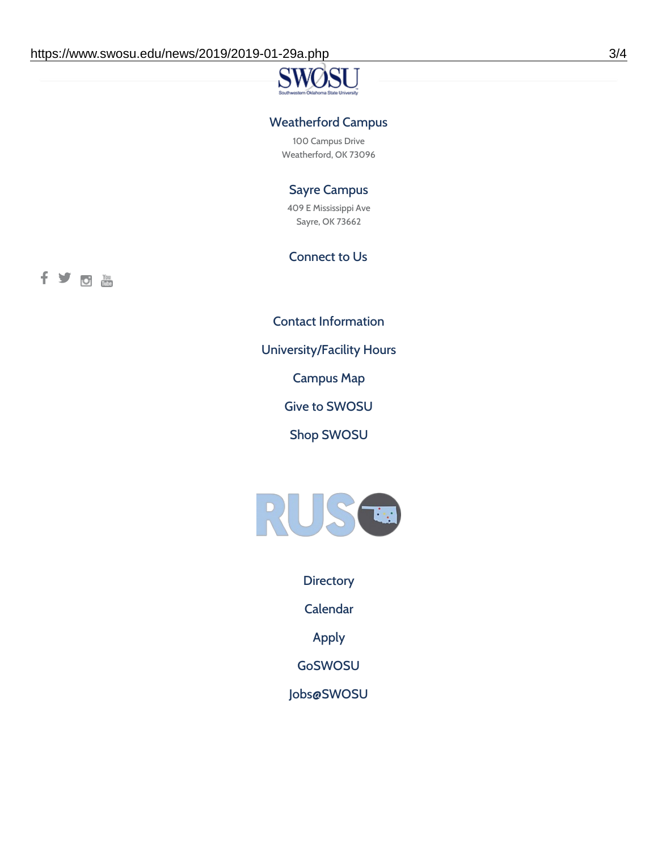## Weatherford Campus

100 Campus Drive Weatherford, OK 73096

# Sayre Campus

409 E Mississippi Ave Sayre, OK 73662

### Connect to Us

fyoth

Contact [Information](https://www.swosu.edu/about/contact.php)

[University/Facility](https://www.swosu.edu/about/operating-hours.php) Hours

[Campus](https://map.concept3d.com/?id=768#!ct/10964,10214,10213,10212,10205,10204,10203,10202,10136,10129,10128,0,31226,10130,10201,10641,0) Map

Give to [SWOSU](https://standingfirmly.com/donate)

Shop [SWOSU](https://shopswosu.merchorders.com/)



**[Directory](https://www.swosu.edu/directory/index.php)** 

[Calendar](https://eventpublisher.dudesolutions.com/swosu/)

[Apply](https://www.swosu.edu/admissions/apply-to-swosu.php)

[GoSWOSU](https://qlsso.quicklaunchsso.com/home/1267)

[Jobs@SWOSU](https://swosu.csod.com/ux/ats/careersite/1/home?c=swosu)